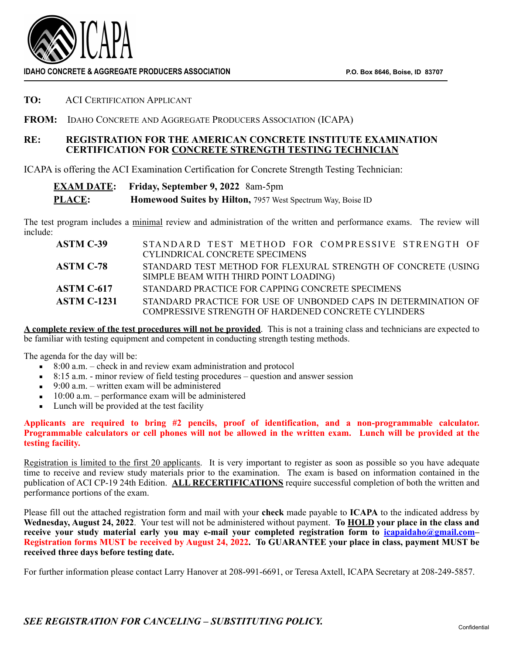

**IDAHO CONCRETE & AGGREGATE PRODUCERS ASSOCIATION P.O. Box 8646, Boise, ID 83707** 

**TO:** ACI CERTIFICATION APPLICANT

**FROM:** IDAHO CONCRETE AND AGGREGATE PRODUCERS ASSOCIATION (ICAPA)

## **RE: REGISTRATION FOR THE AMERICAN CONCRETE INSTITUTE EXAMINATION CERTIFICATION FOR CONCRETE STRENGTH TESTING TECHNICIAN**

ICAPA is offering the ACI Examination Certification for Concrete Strength Testing Technician:

## **EXAM DATE: Friday, September 9, 2022** 8am-5pm **PLACE: Homewood Suites by Hilton,** 7957 West Spectrum Way, Boise ID

The test program includes a minimal review and administration of the written and performance exams. The review will include:

| <b>ASTM C-39</b>   | STANDARD TEST METHOD FOR COMPRESSIVE STRENGTH OF                                                                             |
|--------------------|------------------------------------------------------------------------------------------------------------------------------|
|                    | CYLINDRICAL CONCRETE SPECIMENS                                                                                               |
| <b>ASTM C-78</b>   | STANDARD TEST METHOD FOR FLEXURAL STRENGTH OF CONCRETE (USING<br>SIMPLE BEAM WITH THIRD POINT LOADING)                       |
| ASTM C-617         | STANDARD PRACTICE FOR CAPPING CONCRETE SPECIMENS                                                                             |
| <b>ASTM C-1231</b> | STANDARD PRACTICE FOR USE OF UNBONDED CAPS IN DETERMINATION OF<br><b>COMPRESSIVE STRENGTH OF HARDENED CONCRETE CYLINDERS</b> |

**A complete review of the test procedures will not be provided**. This is not a training class and technicians are expected to be familiar with testing equipment and competent in conducting strength testing methods.

The agenda for the day will be:

- $\overline{\phantom{a}}$  8:00 a.m. check in and review exam administration and protocol
- $\blacksquare$  8:15 a.m. minor review of field testing procedures question and answer session
- $\blacksquare$  9:00 a.m. written exam will be administered
- $\blacksquare$  10:00 a.m. performance exam will be administered
- Lunch will be provided at the test facility

**Applicants are required to bring #2 pencils, proof of identification, and a non-programmable calculator. Programmable calculators or cell phones will not be allowed in the written exam. Lunch will be provided at the testing facility.** 

Registration is limited to the first 20 applicants. It is very important to register as soon as possible so you have adequate time to receive and review study materials prior to the examination. The exam is based on information contained in the publication of ACI CP-19 24th Edition. **ALL RECERTIFICATIONS** require successful completion of both the written and performance portions of the exam.

Please fill out the attached registration form and mail with your **check** made payable to **ICAPA** to the indicated address by **Wednesday, August 24, 2022**. Your test will not be administered without payment. **To HOLD your place in the class and receive your study material early you may e-mail your completed registration form to [icapaidaho@gmail.com–](mailto:icapaidaho@gmail.com) Registration forms MUST be received by August 24, 2022. To GUARANTEE your place in class, payment MUST be received three days before testing date.** 

For further information please contact Larry Hanover at 208-991-6691, or Teresa Axtell, ICAPA Secretary at 208-249-5857.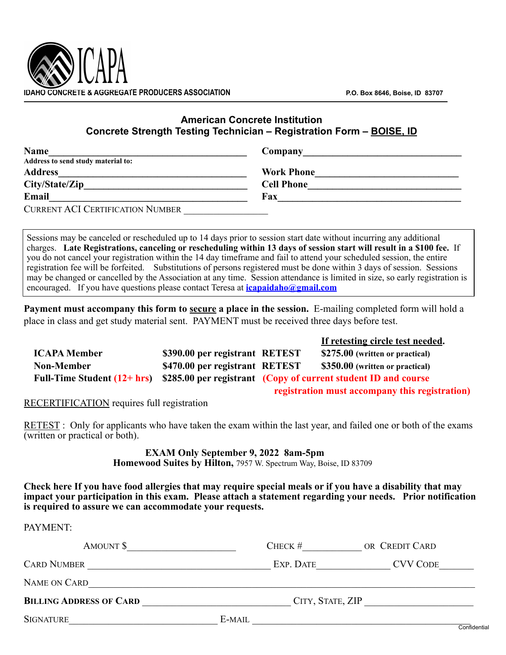

## **American Concrete Institution Concrete Strength Testing Technician – Registration Form – BOISE, ID**

| <b>Name</b>                             | Company           |
|-----------------------------------------|-------------------|
| Address to send study material to:      |                   |
| <b>Address</b>                          | <b>Work Phone</b> |
| City/State/Zip                          | <b>Cell Phone</b> |
| Email                                   | Fax               |
| <b>CURRENT ACI CERTIFICATION NUMBER</b> |                   |

Sessions may be canceled or rescheduled up to 14 days prior to session start date without incurring any additional charges. **Late Registrations, canceling or rescheduling within 13 days of session start will result in a \$100 fee.** If you do not cancel your registration within the 14 day timeframe and fail to attend your scheduled session, the entire registration fee will be forfeited. Substitutions of persons registered must be done within 3 days of session. Sessions may be changed or cancelled by the Association at any time. Session attendance is limited in size, so early registration is encouraged. If you have questions please contact Teresa at **[icapaidaho@gmail.com](mailto:icapaidaho@gmail.com)**

**Payment must accompany this form to secure a place in the session.** E-mailing completed form will hold a place in class and get study material sent. PAYMENT must be received three days before test.

|                     |                                |                                                                                            | If retesting circle test needed.               |
|---------------------|--------------------------------|--------------------------------------------------------------------------------------------|------------------------------------------------|
| <b>ICAPA Member</b> | \$390.00 per registrant RETEST |                                                                                            | \$275.00 (written or practical)                |
| <b>Non-Member</b>   | \$470.00 per registrant RETEST |                                                                                            | \$350.00 (written or practical)                |
|                     |                                | Full-Time Student (12+ hrs) \$285.00 per registrant (Copy of current student ID and course |                                                |
|                     |                                |                                                                                            | registration must accompany this registration) |

RECERTIFICATION requires full registration

RETEST : Only for applicants who have taken the exam within the last year, and failed one or both of the exams (written or practical or both).

## **EXAM Only September 9, 2022 8am-5pm Homewood Suites by Hilton,** 7957 W. Spectrum Way, Boise, ID 83709

**Check here If you have food allergies that may require special meals or if you have a disability that may impact your participation in this exam. Please attach a statement regarding your needs. Prior notification** 

**is required to assure we can accommodate your requests.** 

| PAYMENT:                       |        |           |                  |
|--------------------------------|--------|-----------|------------------|
| AMOUNT \$                      |        | CHECK $#$ | OR CREDIT CARD   |
| <b>CARD NUMBER</b>             |        | EXP. DATE | <b>CVV CODE</b>  |
| NAME ON CARD                   |        |           |                  |
| <b>BILLING ADDRESS OF CARD</b> |        |           | CITY, STATE, ZIP |
| <b>SIGNATURE</b>               | E-MAIL |           | Confidentia      |